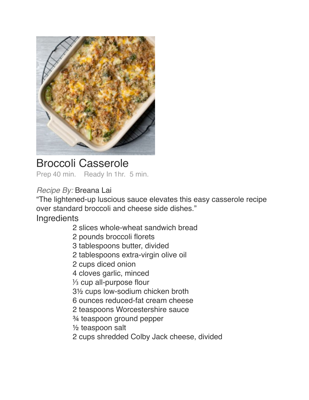

# Broccoli Casserole Prep 40 min. Ready In 1hr. 5 min.

## *Recipe By:* Breana Lai

"The lightened-up luscious sauce elevates this easy casserole recipe over standard broccoli and cheese side dishes."

Ingredients

- 2 slices whole-wheat sandwich bread
- 2 pounds broccoli florets
- 3 tablespoons butter, divided
- 2 tablespoons extra-virgin olive oil
- 2 cups diced onion
- 4 cloves garlic, minced
- 1/3 cup all-purpose flour
- 3<sup>1/2</sup> cups low-sodium chicken broth
- ! ! 6 ounces reduced-fat cream cheese
- 2 teaspoons Worcestershire sauce
- <sup>3</sup>⁄4 teaspoon ground pepper
- $\frac{1}{2}$  teaspoon salt
- 2 cups shredded Colby Jack cheese, divided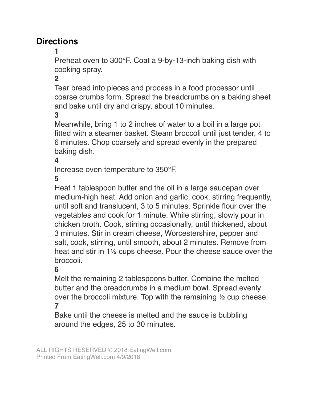## **Directions**

! ! **1**

Preheat oven to 300°F. Coat a 9-by-13-inch baking dish with cooking spray.

#### ! ! **2**

Tear bread into pieces and process in a food processor until coarse crumbs form. Spread the breadcrumbs on a baking sheet and bake until dry and crispy, about 10 minutes.

#### ! ! **3**

Meanwhile, bring 1 to 2 inches of water to a boil in a large pot fitted with a steamer basket. Steam broccoli until just tender, 4 to 6 minutes. Chop coarsely and spread evenly in the prepared baking dish.

#### ! ! **4**

Increase oven temperature to 350°F.

#### **5**

Heat 1 tablespoon butter and the oil in a large saucepan over medium-high heat. Add onion and garlic; cook, stirring frequently, until soft and translucent, 3 to 5 minutes. Sprinkle flour over the vegetables and cook for 1 minute. While stirring, slowly pour in chicken broth. Cook, stirring occasionally, until thickened, about 3 minutes. Stir in cream cheese, Worcestershire, pepper and salt, cook, stirring, until smooth, about 2 minutes. Remove from heat and stir in 1½ cups cheese. Pour the cheese sauce over the broccoli.

### ! ! **6**

Melt the remaining 2 tablespoons butter. Combine the melted butter and the breadcrumbs in a medium bowl. Spread evenly over the broccoli mixture. Top with the remaining ½ cup cheese.  $\overline{ }$ 

Bake until the cheese is melted and the sauce is bubbling around the edges, 25 to 30 minutes.